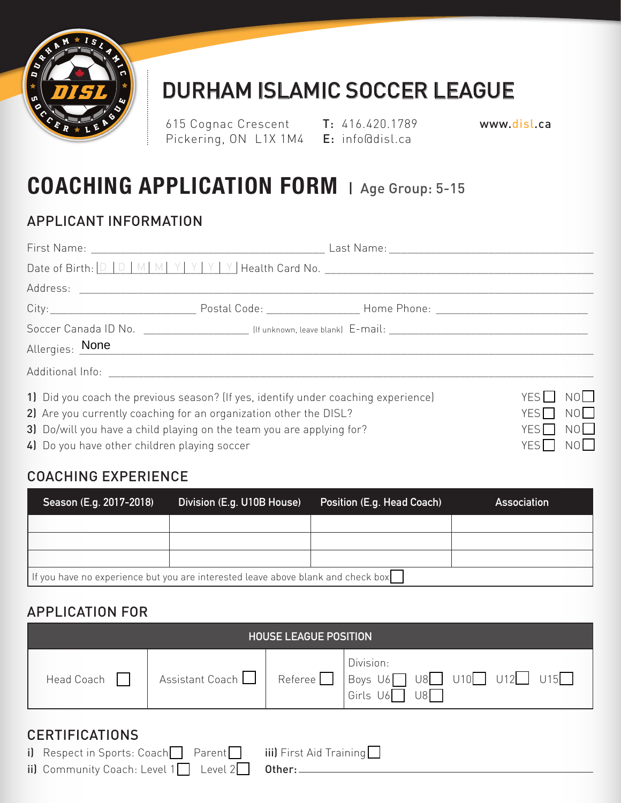

## DURHAM ISLAMIC SOCCER LEAGUE

615 Cognac Crescent T: 416.420.1789 Pickering, ON L1X 1M4 **E**: info@disl.ca

www.disl.ca

## **COACHING APPLICATION FORM** | Age Group: 5-15

### APPLICANT INFORMATION

|                                                                                                                                                         |  | Allergies: None |                            |  |  |
|---------------------------------------------------------------------------------------------------------------------------------------------------------|--|-----------------|----------------------------|--|--|
|                                                                                                                                                         |  |                 |                            |  |  |
| 1) Did you coach the previous season? (If yes, identify under coaching experience)<br>2) Are you currently coaching for an organization other the DISL? |  |                 | NO<br>YES    <br>NO<br>YES |  |  |
| 3) Do/will you have a child playing on the team you are applying for?                                                                                   |  |                 | NO<br>YES <sup>T</sup>     |  |  |
| YES□ NO<br>4) Do you have other children playing soccer                                                                                                 |  |                 |                            |  |  |

### COACHING EXPERIENCE

| Season (E.g. 2017-2018)                                                          | Division (E.g. U10B House) | Position (E.g. Head Coach) | <b>Association</b> |  |  |
|----------------------------------------------------------------------------------|----------------------------|----------------------------|--------------------|--|--|
|                                                                                  |                            |                            |                    |  |  |
|                                                                                  |                            |                            |                    |  |  |
|                                                                                  |                            |                            |                    |  |  |
| If you have no experience but you are interested leave above blank and check box |                            |                            |                    |  |  |

#### APPLICATION FOR

| <b>HOUSE LEAGUE POSITION</b>                                                                                                                                                                                                             |                 |           |                                                              |  |  |
|------------------------------------------------------------------------------------------------------------------------------------------------------------------------------------------------------------------------------------------|-----------------|-----------|--------------------------------------------------------------|--|--|
| Head Coach                                                                                                                                                                                                                               | Assistant Coach | Reference | Division:<br>Boys $U6$ U8 U10 U12 U12 U15<br>Girls U6<br>U8I |  |  |
| <b>CERTIFICATIONS</b><br>i) Respect in Sports: Coach Parent<br>iii) First Aid Training<br>ii) Community Coach: Level $1 \n\begin{bmatrix} 1 & 1 \\ 1 & 1 \end{bmatrix}$ Level $2 \begin{bmatrix} 1 & 1 \\ 1 & 1 \end{bmatrix}$<br>Other: |                 |           |                                                              |  |  |